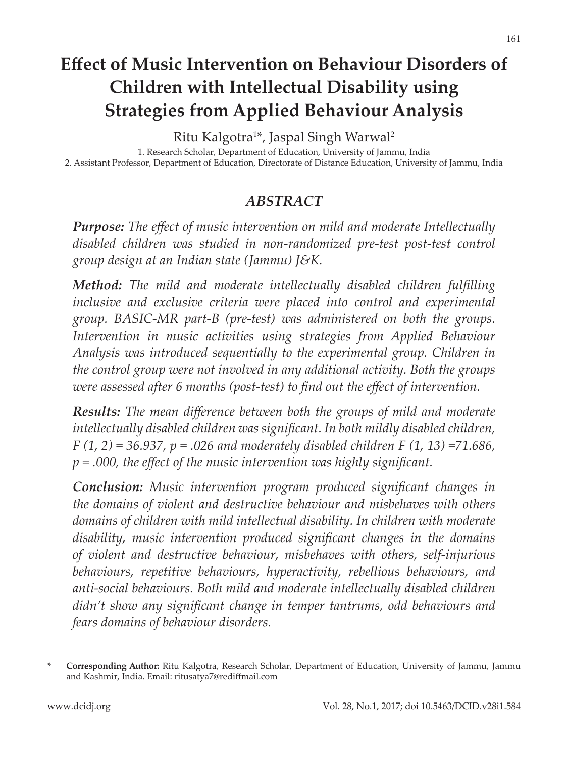# **Effect of Music Intervention on Behaviour Disorders of Children with Intellectual Disability using Strategies from Applied Behaviour Analysis**

Ritu Kalgotra1 \*, Jaspal Singh Warwal2

1. Research Scholar, Department of Education, University of Jammu, India 2. Assistant Professor, Department of Education, Directorate of Distance Education, University of Jammu, India

### *ABSTRACT*

*Purpose: The effect of music intervention on mild and moderate Intellectually disabled children was studied in non-randomized pre-test post-test control group design at an Indian state (Jammu) J&K.*

*Method: The mild and moderate intellectually disabled children fulfilling inclusive and exclusive criteria were placed into control and experimental group. BASIC-MR part-B (pre-test) was administered on both the groups. Intervention in music activities using strategies from Applied Behaviour Analysis was introduced sequentially to the experimental group. Children in the control group were not involved in any additional activity. Both the groups were assessed after 6 months (post-test) to find out the effect of intervention.*

*Results: The mean difference between both the groups of mild and moderate intellectually disabled children was significant. In both mildly disabled children, F (1, 2) = 36.937, p = .026 and moderately disabled children F (1, 13) =71.686, p = .000, the effect of the music intervention was highly significant.*

*Conclusion: Music intervention program produced significant changes in the domains of violent and destructive behaviour and misbehaves with others domains of children with mild intellectual disability. In children with moderate disability, music intervention produced significant changes in the domains of violent and destructive behaviour, misbehaves with others, self-injurious behaviours, repetitive behaviours, hyperactivity, rebellious behaviours, and anti-social behaviours. Both mild and moderate intellectually disabled children didn't show any significant change in temper tantrums, odd behaviours and fears domains of behaviour disorders.*

www.dcidj.org

**<sup>\*</sup> Corresponding Author:** Ritu Kalgotra, Research Scholar, Department of Education, University of Jammu, Jammu and Kashmir, India. Email: ritusatya7@rediffmail.com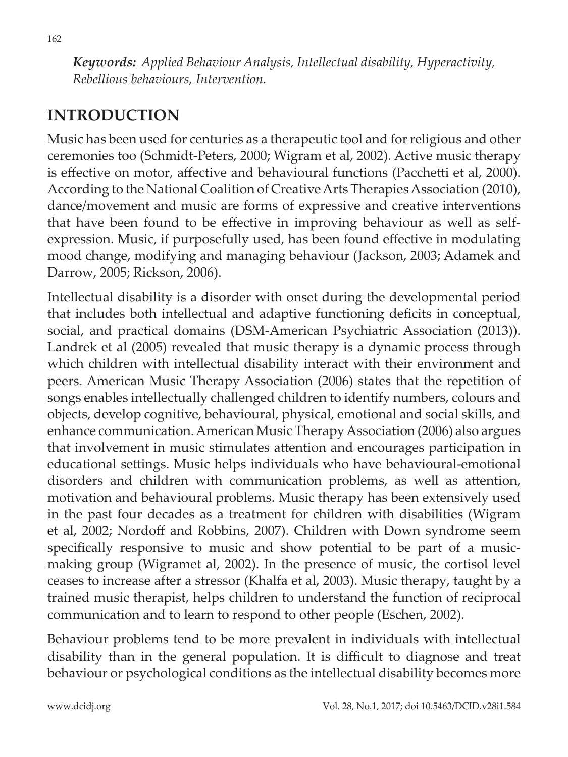*Keywords: Applied Behaviour Analysis, Intellectual disability, Hyperactivity, Rebellious behaviours, Intervention.*

# **INTRODUCTION**

Music has been used for centuries as a therapeutic tool and for religious and other ceremonies too (Schmidt-Peters, 2000; Wigram et al, 2002). Active music therapy is effective on motor, affective and behavioural functions (Pacchetti et al, 2000). According to the National Coalition of Creative Arts Therapies Association (2010), dance/movement and music are forms of expressive and creative interventions that have been found to be effective in improving behaviour as well as selfexpression. Music, if purposefully used, has been found effective in modulating mood change, modifying and managing behaviour (Jackson, 2003; Adamek and Darrow, 2005; Rickson, 2006).

Intellectual disability is a disorder with onset during the developmental period that includes both intellectual and adaptive functioning deficits in conceptual, social, and practical domains (DSM-American Psychiatric Association (2013)). Landrek et al (2005) revealed that music therapy is a dynamic process through which children with intellectual disability interact with their environment and peers. American Music Therapy Association (2006) states that the repetition of songs enables intellectually challenged children to identify numbers, colours and objects, develop cognitive, behavioural, physical, emotional and social skills, and enhance communication. American Music Therapy Association (2006) also argues that involvement in music stimulates attention and encourages participation in educational settings. Music helps individuals who have behavioural-emotional disorders and children with communication problems, as well as attention, motivation and behavioural problems. Music therapy has been extensively used in the past four decades as a treatment for children with disabilities (Wigram et al, 2002; Nordoff and Robbins, 2007). Children with Down syndrome seem specifically responsive to music and show potential to be part of a musicmaking group (Wigramet al, 2002). In the presence of music, the cortisol level ceases to increase after a stressor (Khalfa et al, 2003). Music therapy, taught by a trained music therapist, helps children to understand the function of reciprocal communication and to learn to respond to other people (Eschen, 2002).

Behaviour problems tend to be more prevalent in individuals with intellectual disability than in the general population. It is difficult to diagnose and treat behaviour or psychological conditions as the intellectual disability becomes more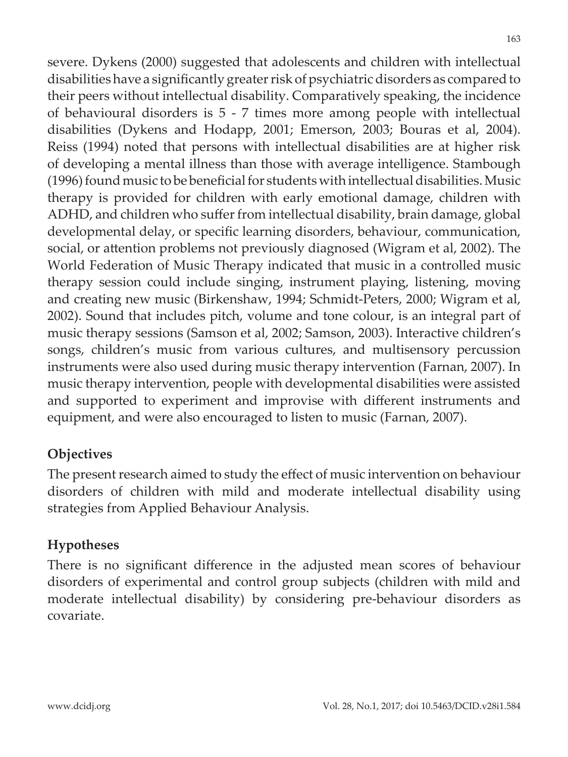severe. Dykens (2000) suggested that adolescents and children with intellectual disabilities have a significantly greater risk of psychiatric disorders as compared to their peers without intellectual disability. Comparatively speaking, the incidence of behavioural disorders is 5 - 7 times more among people with intellectual disabilities (Dykens and Hodapp, 2001; Emerson, 2003; Bouras et al, 2004). Reiss (1994) noted that persons with intellectual disabilities are at higher risk of developing a mental illness than those with average intelligence. Stambough (1996) found music to be beneficial for students with intellectual disabilities. Music therapy is provided for children with early emotional damage, children with ADHD, and children who suffer from intellectual disability, brain damage, global developmental delay, or specific learning disorders, behaviour, communication, social, or attention problems not previously diagnosed (Wigram et al, 2002). The World Federation of Music Therapy indicated that music in a controlled music therapy session could include singing, instrument playing, listening, moving and creating new music (Birkenshaw, 1994; Schmidt-Peters, 2000; Wigram et al, 2002). Sound that includes pitch, volume and tone colour, is an integral part of music therapy sessions (Samson et al, 2002; Samson, 2003). Interactive children's songs, children's music from various cultures, and multisensory percussion instruments were also used during music therapy intervention (Farnan, 2007). In music therapy intervention, people with developmental disabilities were assisted and supported to experiment and improvise with different instruments and equipment, and were also encouraged to listen to music (Farnan, 2007).

#### **Objectives**

The present research aimed to study the effect of music intervention on behaviour disorders of children with mild and moderate intellectual disability using strategies from Applied Behaviour Analysis.

### **Hypotheses**

There is no significant difference in the adjusted mean scores of behaviour disorders of experimental and control group subjects (children with mild and moderate intellectual disability) by considering pre-behaviour disorders as covariate.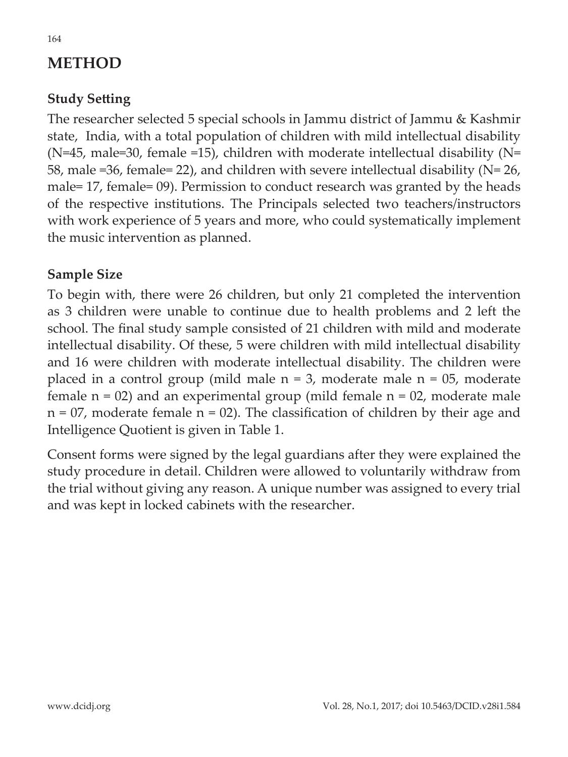# **METHOD**

### **Study Setting**

The researcher selected 5 special schools in Jammu district of Jammu & Kashmir state, India, with a total population of children with mild intellectual disability ( $N=45$ , male=30, female =15), children with moderate intellectual disability ( $N=$ 58, male =36, female= 22), and children with severe intellectual disability (N= 26, male= 17, female= 09). Permission to conduct research was granted by the heads of the respective institutions. The Principals selected two teachers/instructors with work experience of 5 years and more, who could systematically implement the music intervention as planned.

#### **Sample Size**

To begin with, there were 26 children, but only 21 completed the intervention as 3 children were unable to continue due to health problems and 2 left the school. The final study sample consisted of 21 children with mild and moderate intellectual disability. Of these, 5 were children with mild intellectual disability and 16 were children with moderate intellectual disability. The children were placed in a control group (mild male  $n = 3$ , moderate male  $n = 05$ , moderate female  $n = 02$ ) and an experimental group (mild female  $n = 02$ , moderate male  $n = 07$ , moderate female  $n = 02$ ). The classification of children by their age and Intelligence Quotient is given in Table 1.

Consent forms were signed by the legal guardians after they were explained the study procedure in detail. Children were allowed to voluntarily withdraw from the trial without giving any reason. A unique number was assigned to every trial and was kept in locked cabinets with the researcher.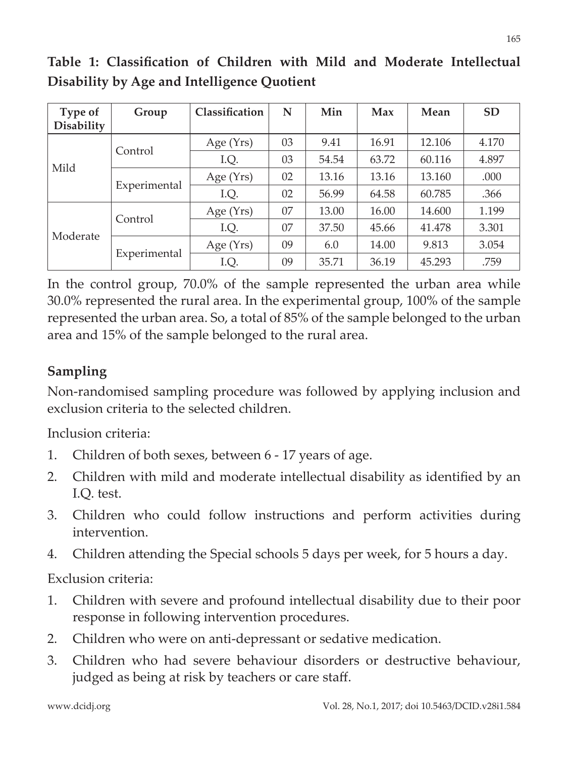| Type of<br><b>Disability</b> | Group        | Classification | N  | Min   | Max   | Mean   | <b>SD</b> |
|------------------------------|--------------|----------------|----|-------|-------|--------|-----------|
| Mild                         | Control      | Age (Yrs)      | 03 | 9.41  | 16.91 | 12.106 | 4.170     |
|                              |              | I.Q.           | 03 | 54.54 | 63.72 | 60.116 | 4.897     |
|                              | Experimental | Age (Yrs)      | 02 | 13.16 | 13.16 | 13.160 | .000      |
|                              |              | I.Q.           | 02 | 56.99 | 64.58 | 60.785 | .366      |
| Moderate                     | Control      | Age $(Yrs)$    | 07 | 13.00 | 16.00 | 14.600 | 1.199     |
|                              |              | I.Q.           | 07 | 37.50 | 45.66 | 41.478 | 3.301     |
|                              | Experimental | Age $(Yrs)$    | 09 | 6.0   | 14.00 | 9.813  | 3.054     |
|                              |              | I.Q.           | 09 | 35.71 | 36.19 | 45.293 | .759      |

**Table 1: Classification of Children with Mild and Moderate Intellectual Disability by Age and Intelligence Quotient**

In the control group, 70.0% of the sample represented the urban area while 30.0% represented the rural area. In the experimental group, 100% of the sample represented the urban area. So, a total of 85% of the sample belonged to the urban area and 15% of the sample belonged to the rural area.

## **Sampling**

Non-randomised sampling procedure was followed by applying inclusion and exclusion criteria to the selected children.

Inclusion criteria:

- 1. Children of both sexes, between 6 17 years of age.
- 2. Children with mild and moderate intellectual disability as identified by an I.Q. test.
- 3. Children who could follow instructions and perform activities during intervention.
- 4. Children attending the Special schools 5 days per week, for 5 hours a day.

Exclusion criteria:

- 1. Children with severe and profound intellectual disability due to their poor response in following intervention procedures.
- 2. Children who were on anti-depressant or sedative medication.
- 3. Children who had severe behaviour disorders or destructive behaviour, judged as being at risk by teachers or care staff.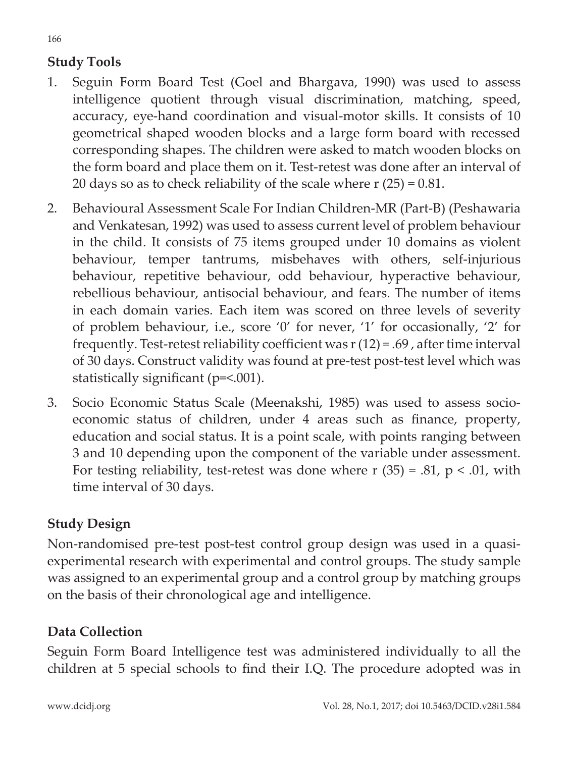## **Study Tools**

- 1. Seguin Form Board Test (Goel and Bhargava, 1990) was used to assess intelligence quotient through visual discrimination, matching, speed, accuracy, eye-hand coordination and visual-motor skills. It consists of 10 geometrical shaped wooden blocks and a large form board with recessed corresponding shapes. The children were asked to match wooden blocks on the form board and place them on it. Test-retest was done after an interval of 20 days so as to check reliability of the scale where r (25) = 0.81.
- 2. Behavioural Assessment Scale For Indian Children-MR (Part-B) (Peshawaria and Venkatesan, 1992) was used to assess current level of problem behaviour in the child. It consists of 75 items grouped under 10 domains as violent behaviour, temper tantrums, misbehaves with others, self-injurious behaviour, repetitive behaviour, odd behaviour, hyperactive behaviour, rebellious behaviour, antisocial behaviour, and fears. The number of items in each domain varies. Each item was scored on three levels of severity of problem behaviour, i.e., score '0' for never, '1' for occasionally, '2' for frequently. Test-retest reliability coefficient was r (12) = .69 , after time interval of 30 days. Construct validity was found at pre-test post-test level which was statistically significant (p=<.001).
- 3. Socio Economic Status Scale (Meenakshi, 1985) was used to assess socioeconomic status of children, under 4 areas such as finance, property, education and social status. It is a point scale, with points ranging between 3 and 10 depending upon the component of the variable under assessment. For testing reliability, test-retest was done where  $r(35) = .81$ ,  $p < .01$ , with time interval of 30 days.

### **Study Design**

Non-randomised pre-test post-test control group design was used in a quasiexperimental research with experimental and control groups. The study sample was assigned to an experimental group and a control group by matching groups on the basis of their chronological age and intelligence.

### **Data Collection**

Seguin Form Board Intelligence test was administered individually to all the children at 5 special schools to find their I.Q. The procedure adopted was in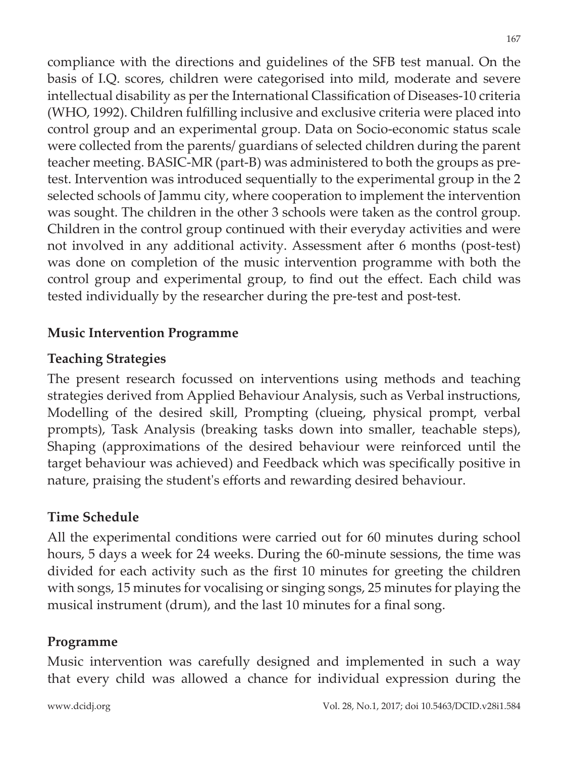compliance with the directions and guidelines of the SFB test manual. On the basis of I.Q. scores, children were categorised into mild, moderate and severe intellectual disability as per the International Classification of Diseases-10 criteria (WHO, 1992). Children fulfilling inclusive and exclusive criteria were placed into control group and an experimental group. Data on Socio-economic status scale were collected from the parents/ guardians of selected children during the parent teacher meeting. BASIC-MR (part-B) was administered to both the groups as pretest. Intervention was introduced sequentially to the experimental group in the 2 selected schools of Jammu city, where cooperation to implement the intervention was sought. The children in the other 3 schools were taken as the control group. Children in the control group continued with their everyday activities and were not involved in any additional activity. Assessment after 6 months (post-test) was done on completion of the music intervention programme with both the control group and experimental group, to find out the effect. Each child was tested individually by the researcher during the pre-test and post-test.

#### **Music Intervention Programme**

#### **Teaching Strategies**

The present research focussed on interventions using methods and teaching strategies derived from Applied Behaviour Analysis, such as Verbal instructions, Modelling of the desired skill, Prompting (clueing, physical prompt, verbal prompts), Task Analysis (breaking tasks down into smaller, teachable steps), Shaping (approximations of the desired behaviour were reinforced until the target behaviour was achieved) and Feedback which was specifically positive in nature, praising the student's efforts and rewarding desired behaviour.

#### **Time Schedule**

All the experimental conditions were carried out for 60 minutes during school hours, 5 days a week for 24 weeks. During the 60-minute sessions, the time was divided for each activity such as the first 10 minutes for greeting the children with songs, 15 minutes for vocalising or singing songs, 25 minutes for playing the musical instrument (drum), and the last 10 minutes for a final song.

#### **Programme**

Music intervention was carefully designed and implemented in such a way that every child was allowed a chance for individual expression during the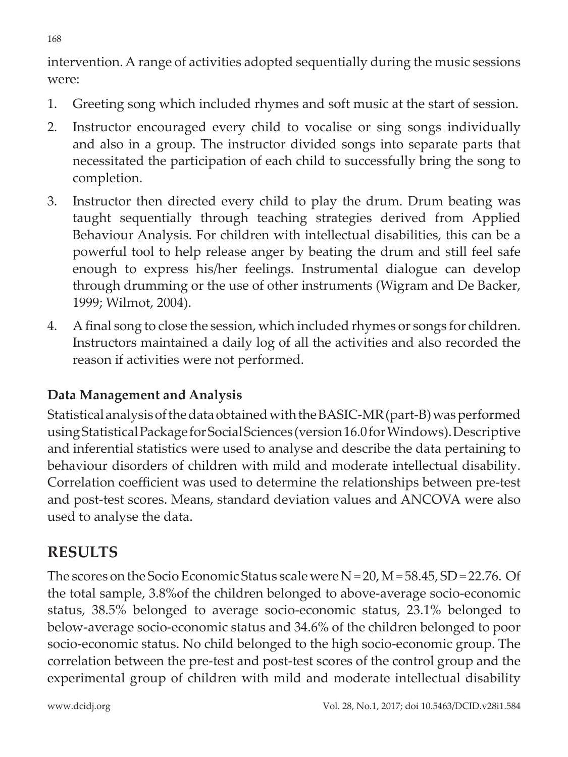intervention. A range of activities adopted sequentially during the music sessions were:

- 1. Greeting song which included rhymes and soft music at the start of session.
- 2. Instructor encouraged every child to vocalise or sing songs individually and also in a group. The instructor divided songs into separate parts that necessitated the participation of each child to successfully bring the song to completion.
- 3. Instructor then directed every child to play the drum. Drum beating was taught sequentially through teaching strategies derived from Applied Behaviour Analysis. For children with intellectual disabilities, this can be a powerful tool to help release anger by beating the drum and still feel safe enough to express his/her feelings. Instrumental dialogue can develop through drumming or the use of other instruments (Wigram and De Backer, 1999; Wilmot, 2004).
- 4. A final song to close the session, which included rhymes or songs for children. Instructors maintained a daily log of all the activities and also recorded the reason if activities were not performed.

## **Data Management and Analysis**

Statistical analysis of the data obtained with the BASIC-MR (part-B) was performed using Statistical Package for Social Sciences (version 16.0 for Windows). Descriptive and inferential statistics were used to analyse and describe the data pertaining to behaviour disorders of children with mild and moderate intellectual disability. Correlation coefficient was used to determine the relationships between pre-test and post-test scores. Means, standard deviation values and ANCOVA were also used to analyse the data.

# **RESULTS**

The scores on the Socio Economic Status scale were  $N = 20$ ,  $M = 58.45$ , SD = 22.76. Of the total sample, 3.8%of the children belonged to above-average socio-economic status, 38.5% belonged to average socio-economic status, 23.1% belonged to below-average socio-economic status and 34.6% of the children belonged to poor socio-economic status. No child belonged to the high socio-economic group. The correlation between the pre-test and post-test scores of the control group and the experimental group of children with mild and moderate intellectual disability

168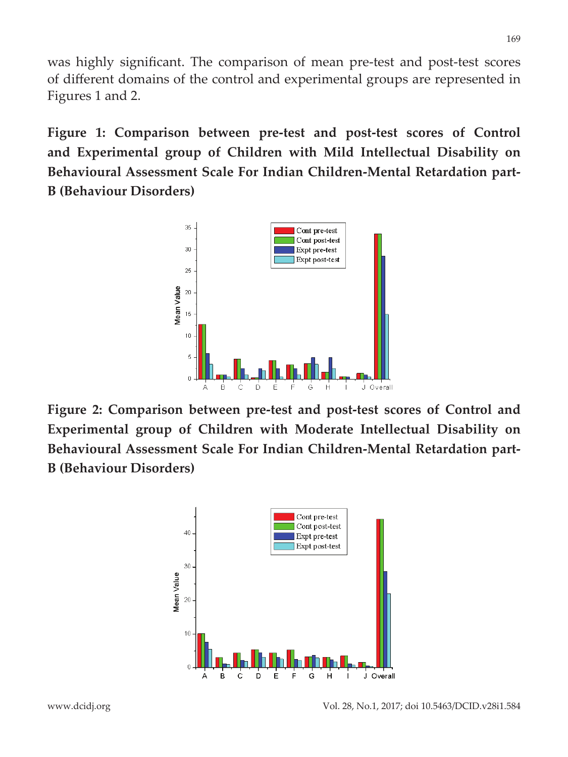was highly significant. The comparison of mean pre-test and post-test scores of different domains of the control and experimental groups are represented in Figures 1 and 2.

**Figure 1: Comparison between pre-test and post-test scores of Control and Experimental group of Children with Mild Intellectual Disability on Behavioural Assessment Scale For Indian Children-Mental Retardation part-B (Behaviour Disorders)**



**Figure 2: Comparison between pre-test and post-test scores of Control and Experimental group of Children with Moderate Intellectual Disability on Behavioural Assessment Scale For Indian Children-Mental Retardation part-B (Behaviour Disorders)**

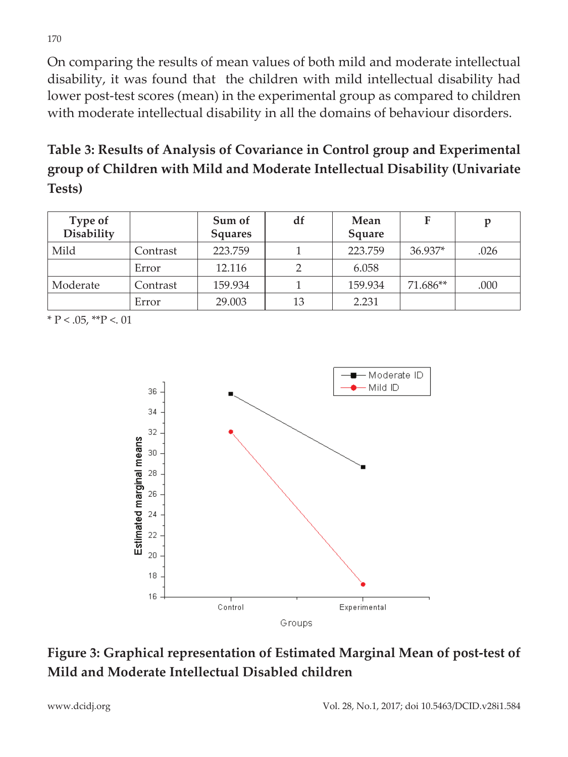On comparing the results of mean values of both mild and moderate intellectual disability, it was found that the children with mild intellectual disability had lower post-test scores (mean) in the experimental group as compared to children with moderate intellectual disability in all the domains of behaviour disorders.

# **Table 3: Results of Analysis of Covariance in Control group and Experimental group of Children with Mild and Moderate Intellectual Disability (Univariate Tests)**

| Type of<br><b>Disability</b> |          | Sum of<br><b>Squares</b> | df | Mean<br>Square | F        | p    |
|------------------------------|----------|--------------------------|----|----------------|----------|------|
| Mild                         | Contrast | 223.759                  |    | 223.759        | 36.937*  | .026 |
|                              | Error    | 12.116                   |    | 6.058          |          |      |
| Moderate                     | Contrast | 159.934                  |    | 159.934        | 71.686** | .000 |
|                              | Error    | 29.003                   | 13 | 2.231          |          |      |

 $*$  P < .05,  $*$  $*$ P < .01



## **Figure 3: Graphical representation of Estimated Marginal Mean of post-test of Mild and Moderate Intellectual Disabled children**

www.dcidj.org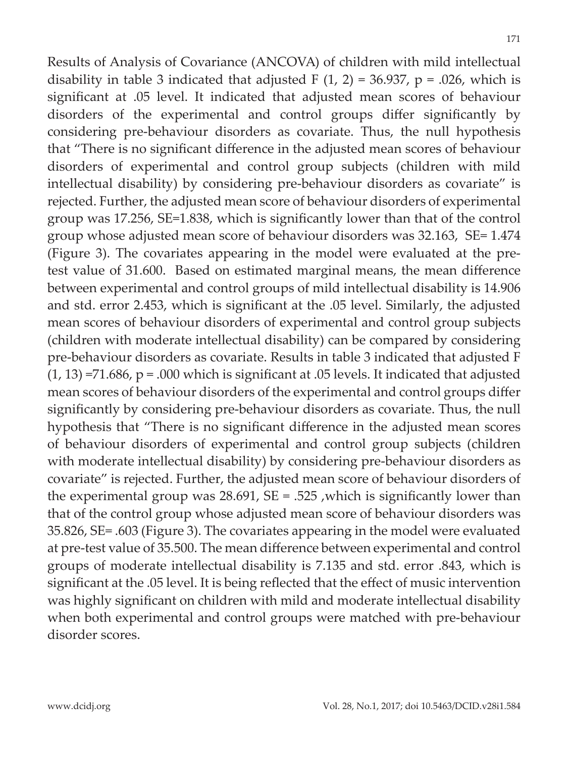Results of Analysis of Covariance (ANCOVA) of children with mild intellectual disability in table 3 indicated that adjusted F  $(1, 2) = 36.937$ ,  $p = .026$ , which is significant at .05 level. It indicated that adjusted mean scores of behaviour disorders of the experimental and control groups differ significantly by considering pre-behaviour disorders as covariate. Thus, the null hypothesis that "There is no significant difference in the adjusted mean scores of behaviour disorders of experimental and control group subjects (children with mild intellectual disability) by considering pre-behaviour disorders as covariate" is rejected. Further, the adjusted mean score of behaviour disorders of experimental group was 17.256, SE=1.838, which is significantly lower than that of the control group whose adjusted mean score of behaviour disorders was 32.163, SE= 1.474 (Figure 3). The covariates appearing in the model were evaluated at the pretest value of 31.600. Based on estimated marginal means, the mean difference between experimental and control groups of mild intellectual disability is 14.906 and std. error 2.453, which is significant at the .05 level. Similarly, the adjusted mean scores of behaviour disorders of experimental and control group subjects (children with moderate intellectual disability) can be compared by considering pre-behaviour disorders as covariate. Results in table 3 indicated that adjusted F  $(1, 13)$  =71.686, p = .000 which is significant at .05 levels. It indicated that adjusted mean scores of behaviour disorders of the experimental and control groups differ significantly by considering pre-behaviour disorders as covariate. Thus, the null hypothesis that "There is no significant difference in the adjusted mean scores of behaviour disorders of experimental and control group subjects (children with moderate intellectual disability) by considering pre-behaviour disorders as covariate" is rejected. Further, the adjusted mean score of behaviour disorders of the experimental group was  $28.691$ ,  $SE = .525$ , which is significantly lower than that of the control group whose adjusted mean score of behaviour disorders was 35.826, SE= .603 (Figure 3). The covariates appearing in the model were evaluated at pre-test value of 35.500. The mean difference between experimental and control groups of moderate intellectual disability is 7.135 and std. error .843, which is significant at the .05 level. It is being reflected that the effect of music intervention was highly significant on children with mild and moderate intellectual disability when both experimental and control groups were matched with pre-behaviour disorder scores.

171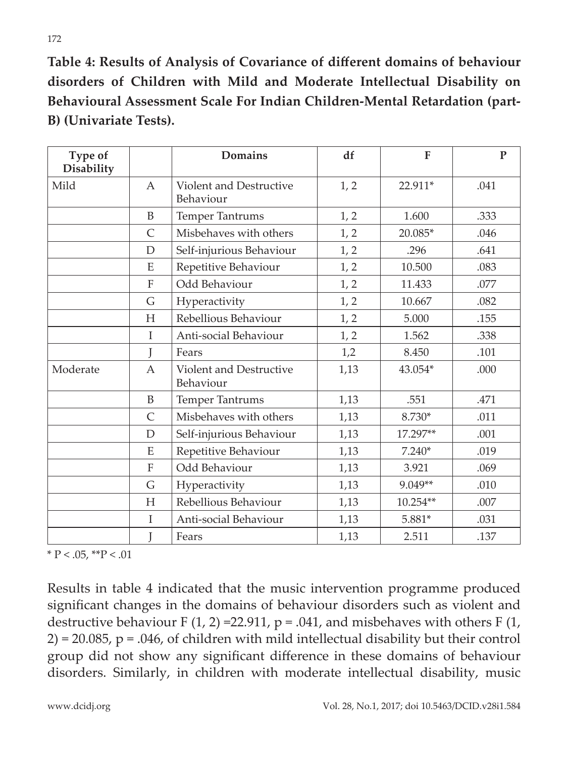**Table 4: Results of Analysis of Covariance of different domains of behaviour disorders of Children with Mild and Moderate Intellectual Disability on Behavioural Assessment Scale For Indian Children-Mental Retardation (part-B) (Univariate Tests).**

| Type of<br><b>Disability</b> |              | <b>Domains</b>                              | df   | $\mathbf{F}$ | $\mathbf{P}$ |
|------------------------------|--------------|---------------------------------------------|------|--------------|--------------|
| Mild                         | $\mathsf{A}$ | <b>Violent and Destructive</b><br>Behaviour | 1, 2 | 22.911*      | .041         |
|                              | B            | Temper Tantrums                             | 1, 2 | 1.600        | .333         |
|                              | C            | Misbehaves with others                      | 1, 2 | 20.085*      | .046         |
|                              | D            | Self-injurious Behaviour                    | 1, 2 | .296         | .641         |
|                              | E            | Repetitive Behaviour                        | 1, 2 | 10.500       | .083         |
|                              | F            | Odd Behaviour                               | 1, 2 | 11.433       | .077         |
|                              | G            | Hyperactivity                               | 1, 2 | 10.667       | .082         |
|                              | H            | Rebellious Behaviour                        | 1, 2 | 5.000        | .155         |
|                              | $\mathbf I$  | Anti-social Behaviour                       | 1, 2 | 1.562        | .338         |
|                              |              | Fears                                       | 1,2  | 8.450        | .101         |
| Moderate                     | A            | <b>Violent and Destructive</b><br>Behaviour | 1,13 | 43.054*      | .000         |
|                              | B            | Temper Tantrums                             | 1,13 | .551         | .471         |
|                              | C            | Misbehaves with others                      | 1,13 | 8.730*       | .011         |
|                              | D            | Self-injurious Behaviour                    | 1,13 | 17.297**     | .001         |
|                              | E            | Repetitive Behaviour                        | 1,13 | $7.240*$     | .019         |
|                              | F            | Odd Behaviour                               | 1,13 | 3.921        | .069         |
|                              | G            | Hyperactivity                               | 1,13 | 9.049**      | .010         |
|                              | Н            | Rebellious Behaviour                        | 1,13 | 10.254**     | .007         |
|                              | I            | Anti-social Behaviour                       | 1,13 | 5.881*       | .031         |
|                              |              | Fears                                       | 1,13 | 2.511        | .137         |

 $*$  P < .05,  $*$  $*$ P < .01

Results in table 4 indicated that the music intervention programme produced significant changes in the domains of behaviour disorders such as violent and destructive behaviour F  $(1, 2)$  =22.911, p = .041, and misbehaves with others F  $(1, 2)$  $2$ ) = 20.085, p = .046, of children with mild intellectual disability but their control group did not show any significant difference in these domains of behaviour disorders. Similarly, in children with moderate intellectual disability, music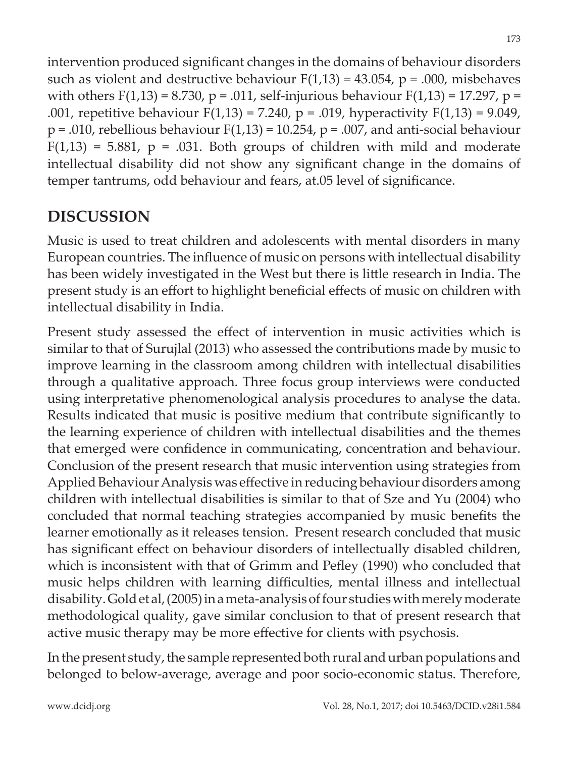intervention produced significant changes in the domains of behaviour disorders such as violent and destructive behaviour  $F(1,13) = 43.054$ ,  $p = .000$ , misbehaves with others  $F(1,13) = 8.730$ ,  $p = .011$ , self-injurious behaviour  $F(1,13) = 17.297$ ,  $p =$ .001, repetitive behaviour  $F(1,13) = 7.240$ ,  $p = .019$ , hyperactivity  $F(1,13) = 9.049$ ,  $p = .010$ , rebellious behaviour  $F(1,13) = 10.254$ ,  $p = .007$ , and anti-social behaviour  $F(1,13) = 5.881$ ,  $p = .031$ . Both groups of children with mild and moderate intellectual disability did not show any significant change in the domains of temper tantrums, odd behaviour and fears, at.05 level of significance.

# **DISCUSSION**

Music is used to treat children and adolescents with mental disorders in many European countries. The influence of music on persons with intellectual disability has been widely investigated in the West but there is little research in India. The present study is an effort to highlight beneficial effects of music on children with intellectual disability in India.

Present study assessed the effect of intervention in music activities which is similar to that of Surujlal (2013) who assessed the contributions made by music to improve learning in the classroom among children with intellectual disabilities through a qualitative approach. Three focus group interviews were conducted using interpretative phenomenological analysis procedures to analyse the data. Results indicated that music is positive medium that contribute significantly to the learning experience of children with intellectual disabilities and the themes that emerged were confidence in communicating, concentration and behaviour. Conclusion of the present research that music intervention using strategies from Applied Behaviour Analysis was effective in reducing behaviour disorders among children with intellectual disabilities is similar to that of Sze and Yu (2004) who concluded that normal teaching strategies accompanied by music benefits the learner emotionally as it releases tension. Present research concluded that music has significant effect on behaviour disorders of intellectually disabled children, which is inconsistent with that of Grimm and Pefley (1990) who concluded that music helps children with learning difficulties, mental illness and intellectual disability. Gold et al, (2005) in a meta-analysis of four studies with merely moderate methodological quality, gave similar conclusion to that of present research that active music therapy may be more effective for clients with psychosis.

In the present study, the sample represented both rural and urban populations and belonged to below-average, average and poor socio-economic status. Therefore,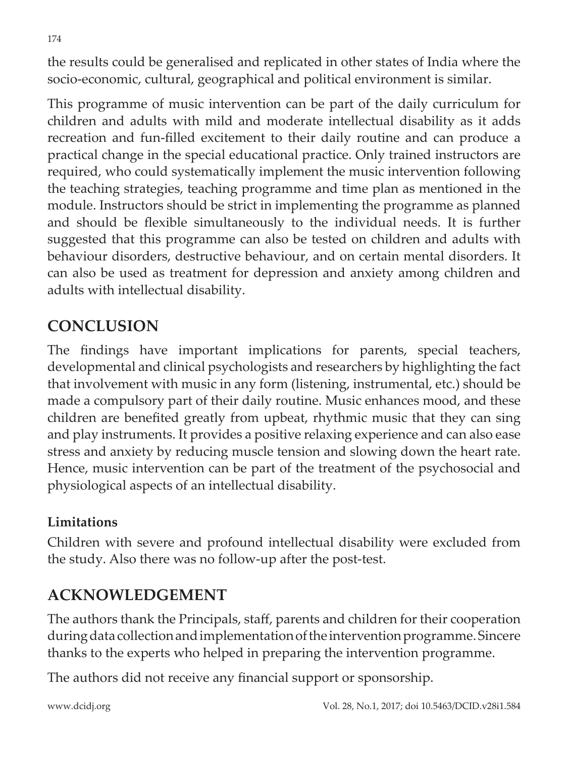the results could be generalised and replicated in other states of India where the socio-economic, cultural, geographical and political environment is similar.

This programme of music intervention can be part of the daily curriculum for children and adults with mild and moderate intellectual disability as it adds recreation and fun-filled excitement to their daily routine and can produce a practical change in the special educational practice. Only trained instructors are required, who could systematically implement the music intervention following the teaching strategies, teaching programme and time plan as mentioned in the module. Instructors should be strict in implementing the programme as planned and should be flexible simultaneously to the individual needs. It is further suggested that this programme can also be tested on children and adults with behaviour disorders, destructive behaviour, and on certain mental disorders. It can also be used as treatment for depression and anxiety among children and adults with intellectual disability.

# **CONCLUSION**

The findings have important implications for parents, special teachers, developmental and clinical psychologists and researchers by highlighting the fact that involvement with music in any form (listening, instrumental, etc.) should be made a compulsory part of their daily routine. Music enhances mood, and these children are benefited greatly from upbeat, rhythmic music that they can sing and play instruments. It provides a positive relaxing experience and can also ease stress and anxiety by reducing muscle tension and slowing down the heart rate. Hence, music intervention can be part of the treatment of the psychosocial and physiological aspects of an intellectual disability.

#### **Limitations**

Children with severe and profound intellectual disability were excluded from the study. Also there was no follow-up after the post-test.

# **ACKNOWLEDGEMENT**

The authors thank the Principals, staff, parents and children for their cooperation during data collection and implementation of the intervention programme. Sincere thanks to the experts who helped in preparing the intervention programme.

The authors did not receive any financial support or sponsorship.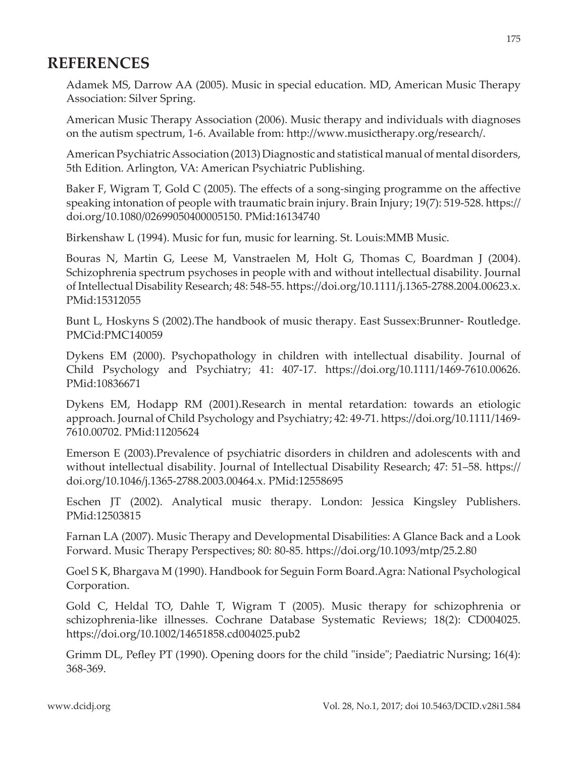## **REFERENCES**

Adamek MS, Darrow AA (2005). Music in special education. MD, American Music Therapy Association: Silver Spring.

American Music Therapy Association (2006). Music therapy and individuals with diagnoses on the autism spectrum, 1-6. Available from: http://www.musictherapy.org/research/.

American Psychiatric Association (2013) Diagnostic and statistical manual of mental disorders, 5th Edition. Arlington, VA: American Psychiatric Publishing.

Baker F, Wigram T, Gold C (2005). The effects of a song-singing programme on the affective speaking intonation of people with traumatic brain injury. Brain Injury; 19(7): 519-528. https:// doi.org/10.1080/02699050400005150. PMid:16134740

Birkenshaw L (1994). Music for fun, music for learning. St. Louis:MMB Music.

Bouras N, Martin G, Leese M, Vanstraelen M, Holt G, Thomas C, Boardman J (2004). Schizophrenia spectrum psychoses in people with and without intellectual disability. Journal of Intellectual Disability Research; 48: 548-55. https://doi.org/10.1111/j.1365-2788.2004.00623.x. PMid:15312055

Bunt L, Hoskyns S (2002).The handbook of music therapy. East Sussex:Brunner- Routledge. PMCid:PMC140059

Dykens EM (2000). Psychopathology in children with intellectual disability. Journal of Child Psychology and Psychiatry; 41: 407-17. https://doi.org/10.1111/1469-7610.00626. PMid:10836671

Dykens EM, Hodapp RM (2001).Research in mental retardation: towards an etiologic approach. Journal of Child Psychology and Psychiatry; 42: 49-71. https://doi.org/10.1111/1469- 7610.00702. PMid:11205624

Emerson E (2003).Prevalence of psychiatric disorders in children and adolescents with and without intellectual disability. Journal of Intellectual Disability Research; 47: 51–58. https:// doi.org/10.1046/j.1365-2788.2003.00464.x. PMid:12558695

Eschen JT (2002). Analytical music therapy. London: Jessica Kingsley Publishers. PMid:12503815

Farnan LA (2007). Music Therapy and Developmental Disabilities: A Glance Back and a Look Forward. Music Therapy Perspectives; 80: 80-85. https://doi.org/10.1093/mtp/25.2.80

Goel S K, Bhargava M (1990). Handbook for Seguin Form Board.Agra: National Psychological Corporation.

Gold C, Heldal TO, Dahle T, Wigram T (2005). Music therapy for schizophrenia or schizophrenia-like illnesses. Cochrane Database Systematic Reviews; 18(2): CD004025. https://doi.org/10.1002/14651858.cd004025.pub2

Grimm DL, Pefley PT (1990). Opening doors for the child "inside"; Paediatric Nursing; 16(4): 368-369.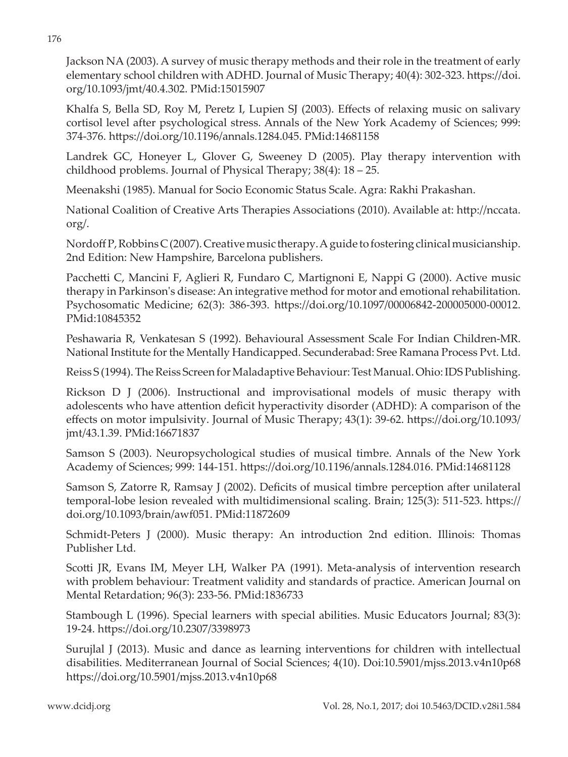Jackson NA (2003). A survey of music therapy methods and their role in the treatment of early elementary school children with ADHD. Journal of Music Therapy; 40(4): 302-323. https://doi. org/10.1093/jmt/40.4.302. PMid:15015907

Khalfa S, Bella SD, Roy M, Peretz I, Lupien SJ (2003). Effects of relaxing music on salivary cortisol level after psychological stress. Annals of the New York Academy of Sciences; 999: 374-376. https://doi.org/10.1196/annals.1284.045. PMid:14681158

Landrek GC, Honeyer L, Glover G, Sweeney D (2005). Play therapy intervention with childhood problems. Journal of Physical Therapy; 38(4): 18 – 25.

Meenakshi (1985). Manual for Socio Economic Status Scale. Agra: Rakhi Prakashan.

National Coalition of Creative Arts Therapies Associations (2010). Available at: http://nccata. org/.

Nordoff P, Robbins C (2007). Creative music therapy. A guide to fostering clinical musicianship. 2nd Edition: New Hampshire, Barcelona publishers.

Pacchetti C, Mancini F, Aglieri R, Fundaro C, Martignoni E, Nappi G (2000). Active music therapy in Parkinson's disease: An integrative method for motor and emotional rehabilitation. Psychosomatic Medicine; 62(3): 386-393. https://doi.org/10.1097/00006842-200005000-00012. PMid:10845352

Peshawaria R, Venkatesan S (1992). Behavioural Assessment Scale For Indian Children-MR. National Institute for the Mentally Handicapped. Secunderabad: Sree Ramana Process Pvt. Ltd.

Reiss S (1994). The Reiss Screen for Maladaptive Behaviour: Test Manual. Ohio: IDS Publishing.

Rickson D J (2006). Instructional and improvisational models of music therapy with adolescents who have attention deficit hyperactivity disorder (ADHD): A comparison of the effects on motor impulsivity. Journal of Music Therapy; 43(1): 39-62. https://doi.org/10.1093/ jmt/43.1.39. PMid:16671837

Samson S (2003). Neuropsychological studies of musical timbre. Annals of the New York Academy of Sciences; 999: 144-151. https://doi.org/10.1196/annals.1284.016. PMid:14681128

Samson S, Zatorre R, Ramsay J (2002). Deficits of musical timbre perception after unilateral temporal-lobe lesion revealed with multidimensional scaling. Brain; 125(3): 511-523. https:// doi.org/10.1093/brain/awf051. PMid:11872609

Schmidt-Peters J (2000). Music therapy: An introduction 2nd edition. Illinois: Thomas Publisher Ltd.

Scotti JR, Evans IM, Meyer LH, Walker PA (1991). Meta-analysis of intervention research with problem behaviour: Treatment validity and standards of practice. American Journal on Mental Retardation; 96(3): 233-56. PMid:1836733

Stambough L (1996). Special learners with special abilities. Music Educators Journal; 83(3): 19-24. https://doi.org/10.2307/3398973

Surujlal J (2013). Music and dance as learning interventions for children with intellectual disabilities. Mediterranean Journal of Social Sciences; 4(10). Doi:10.5901/mjss.2013.v4n10p68 https://doi.org/10.5901/mjss.2013.v4n10p68